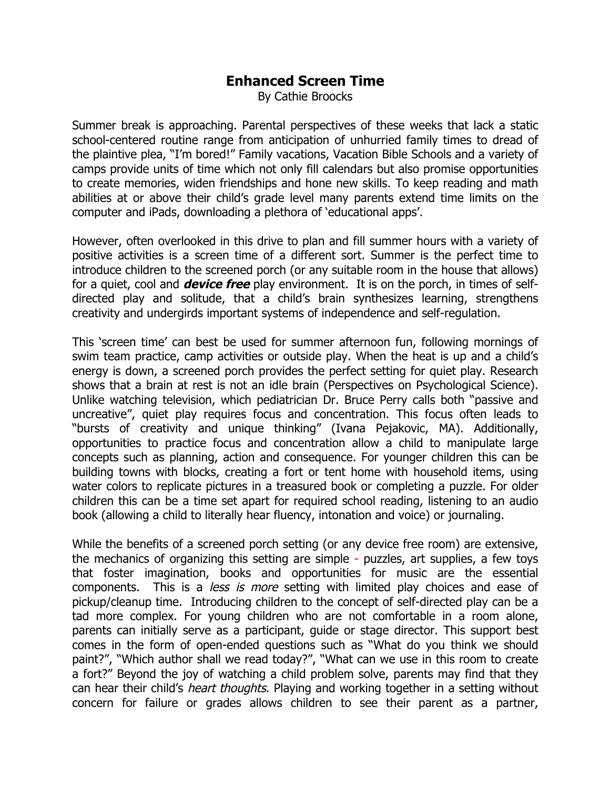## **Enhanced Screen Time**

By Cathie Broocks

Summer break is approaching. Parental perspectives of these weeks that lack a static school-centered routine range from anticipation of unhurried family times to dread of the plaintive plea, "I'm bored!" Family vacations, Vacation Bible Schools and a variety of camps provide units of time which not only fill calendars but also promise opportunities to create memories, widen friendships and hone new skills. To keep reading and math abilities at or above their child's grade level many parents extend time limits on the computer and iPads, downloading a plethora of 'educational apps'.

However, often overlooked in this drive to plan and fill summer hours with a variety of positive activities is a screen time of a different sort. Summer is the perfect time to introduce children to the screened porch (or any suitable room in the house that allows) for a quiet, cool and **device free** play environment. It is on the porch, in times of selfdirected play and solitude, that a child's brain synthesizes learning, strengthens creativity and undergirds important systems of independence and self-regulation.

This 'screen time' can best be used for summer afternoon fun, following mornings of swim team practice, camp activities or outside play. When the heat is up and a child's energy is down, a screened porch provides the perfect setting for quiet play. Research shows that a brain at rest is not an idle brain (Perspectives on Psychological Science). Unlike watching television, which pediatrician Dr. Bruce Perry calls both "passive and uncreative", quiet play requires focus and concentration. This focus often leads to "bursts of creativity and unique thinking" (Ivana Pejakovic, MA). Additionally, opportunities to practice focus and concentration allow a child to manipulate large concepts such as planning, action and consequence. For younger children this can be building towns with blocks, creating a fort or tent home with household items, using water colors to replicate pictures in a treasured book or completing a puzzle. For older children this can be a time set apart for required school reading, listening to an audio book (allowing a child to literally hear fluency, intonation and voice) or journaling.

While the benefits of a screened porch setting (or any device free room) are extensive, the mechanics of organizing this setting are simple - puzzles, art supplies, a few toys that foster imagination, books and opportunities for music are the essential components. This is a less is more setting with limited play choices and ease of pickup/cleanup time. Introducing children to the concept of self-directed play can be a tad more complex. For young children who are not comfortable in a room alone, parents can initially serve as a participant, guide or stage director. This support best comes in the form of open-ended questions such as "What do you think we should paint?", "Which author shall we read today?", "What can we use in this room to create a fort?" Beyond the joy of watching a child problem solve, parents may find that they can hear their child's heart thoughts. Playing and working together in a setting without concern for failure or grades allows children to see their parent as a partner,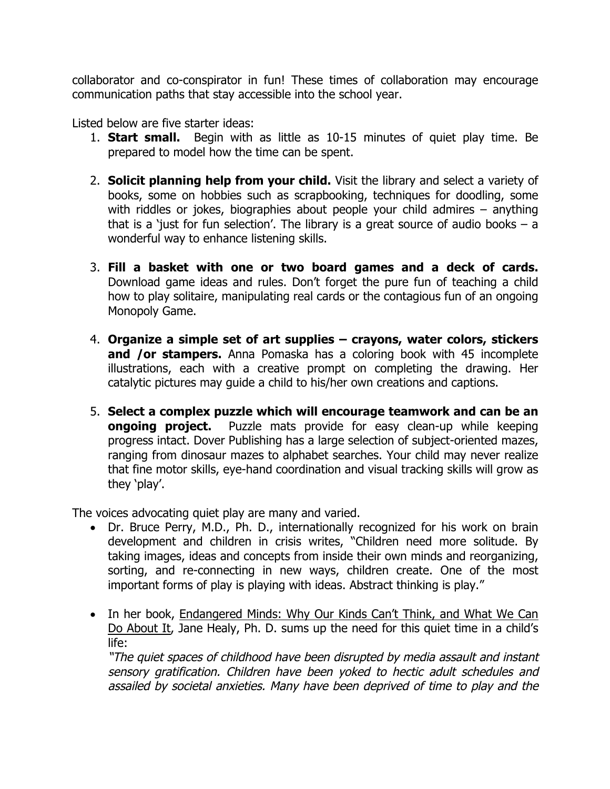collaborator and co-conspirator in fun! These times of collaboration may encourage communication paths that stay accessible into the school year.

Listed below are five starter ideas:

- 1. **Start small.** Begin with as little as 10-15 minutes of quiet play time. Be prepared to model how the time can be spent.
- 2. **Solicit planning help from your child.** Visit the library and select a variety of books, some on hobbies such as scrapbooking, techniques for doodling, some with riddles or jokes, biographies about people your child admires – anything that is a 'just for fun selection'. The library is a great source of audio books  $-$  a wonderful way to enhance listening skills.
- 3. **Fill a basket with one or two board games and a deck of cards.**  Download game ideas and rules. Don't forget the pure fun of teaching a child how to play solitaire, manipulating real cards or the contagious fun of an ongoing Monopoly Game.
- 4. **Organize a simple set of art supplies – crayons, water colors, stickers and /or stampers.** Anna Pomaska has a coloring book with 45 incomplete illustrations, each with a creative prompt on completing the drawing. Her catalytic pictures may guide a child to his/her own creations and captions.
- 5. **Select a complex puzzle which will encourage teamwork and can be an ongoing project.** Puzzle mats provide for easy clean-up while keeping progress intact. Dover Publishing has a large selection of subject-oriented mazes, ranging from dinosaur mazes to alphabet searches. Your child may never realize that fine motor skills, eye-hand coordination and visual tracking skills will grow as they 'play'.

The voices advocating quiet play are many and varied.

- Dr. Bruce Perry, M.D., Ph. D., internationally recognized for his work on brain development and children in crisis writes, "Children need more solitude. By taking images, ideas and concepts from inside their own minds and reorganizing, sorting, and re-connecting in new ways, children create. One of the most important forms of play is playing with ideas. Abstract thinking is play."
- In her book, Endangered Minds: Why Our Kinds Can't Think, and What We Can Do About It, Jane Healy, Ph. D. sums up the need for this quiet time in a child's life:

"The quiet spaces of childhood have been disrupted by media assault and instant sensory gratification. Children have been yoked to hectic adult schedules and assailed by societal anxieties. Many have been deprived of time to play and the